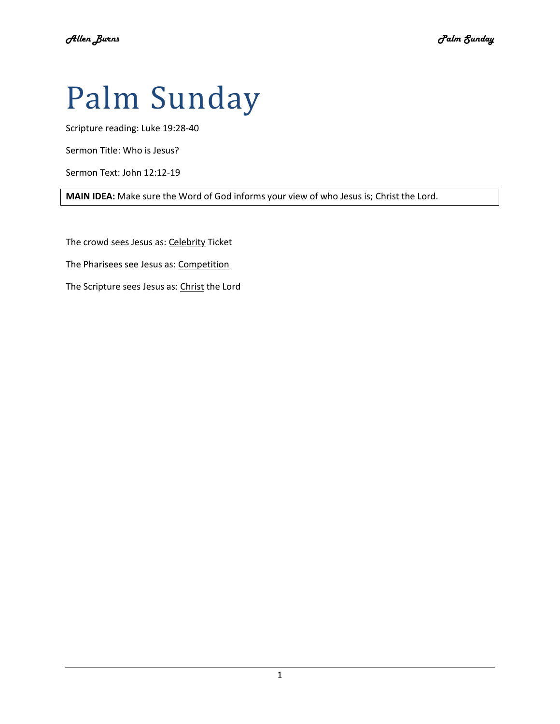# Palm Sunday

Scripture reading: Luke 19:28-40

Sermon Title: Who is Jesus?

Sermon Text: John 12:12-19

**MAIN IDEA:** Make sure the Word of God informs your view of who Jesus is; Christ the Lord.

The crowd sees Jesus as: Celebrity Ticket

The Pharisees see Jesus as: Competition

The Scripture sees Jesus as: Christ the Lord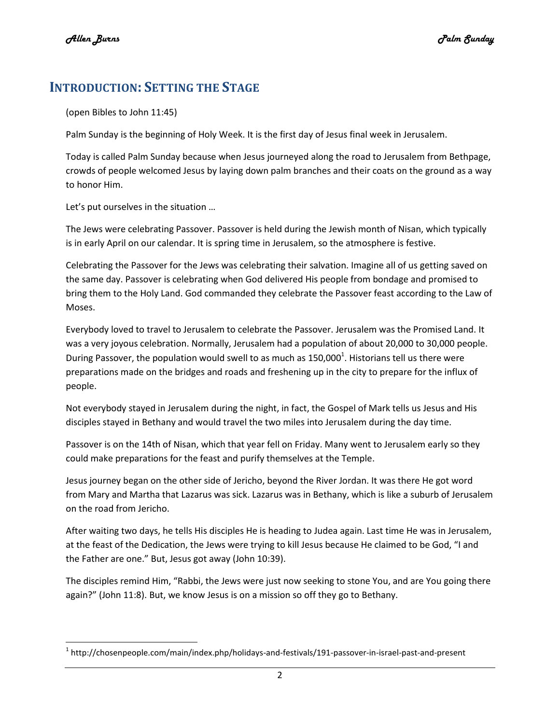l

## **INTRODUCTION: SETTING THE STAGE**

(open Bibles to John 11:45)

Palm Sunday is the beginning of Holy Week. It is the first day of Jesus final week in Jerusalem.

Today is called Palm Sunday because when Jesus journeyed along the road to Jerusalem from Bethpage, crowds of people welcomed Jesus by laying down palm branches and their coats on the ground as a way to honor Him.

Let's put ourselves in the situation …

The Jews were celebrating Passover. Passover is held during the Jewish month of Nisan, which typically is in early April on our calendar. It is spring time in Jerusalem, so the atmosphere is festive.

Celebrating the Passover for the Jews was celebrating their salvation. Imagine all of us getting saved on the same day. Passover is celebrating when God delivered His people from bondage and promised to bring them to the Holy Land. God commanded they celebrate the Passover feast according to the Law of Moses.

Everybody loved to travel to Jerusalem to celebrate the Passover. Jerusalem was the Promised Land. It was a very joyous celebration. Normally, Jerusalem had a population of about 20,000 to 30,000 people. During Passover, the population would swell to as much as  $150,000^1$ . Historians tell us there were preparations made on the bridges and roads and freshening up in the city to prepare for the influx of people.

Not everybody stayed in Jerusalem during the night, in fact, the Gospel of Mark tells us Jesus and His disciples stayed in Bethany and would travel the two miles into Jerusalem during the day time.

Passover is on the 14th of Nisan, which that year fell on Friday. Many went to Jerusalem early so they could make preparations for the feast and purify themselves at the Temple.

Jesus journey began on the other side of Jericho, beyond the River Jordan. It was there He got word from Mary and Martha that Lazarus was sick. Lazarus was in Bethany, which is like a suburb of Jerusalem on the road from Jericho.

After waiting two days, he tells His disciples He is heading to Judea again. Last time He was in Jerusalem, at the feast of the Dedication, the Jews were trying to kill Jesus because He claimed to be God, "I and the Father are one." But, Jesus got away (John 10:39).

The disciples remind Him, "Rabbi, the Jews were just now seeking to stone You, and are You going there again?" (John 11:8). But, we know Jesus is on a mission so off they go to Bethany.

<sup>&</sup>lt;sup>1</sup> http://chosenpeople.com/main/index.php/holidays-and-festivals/191-passover-in-israel-past-and-present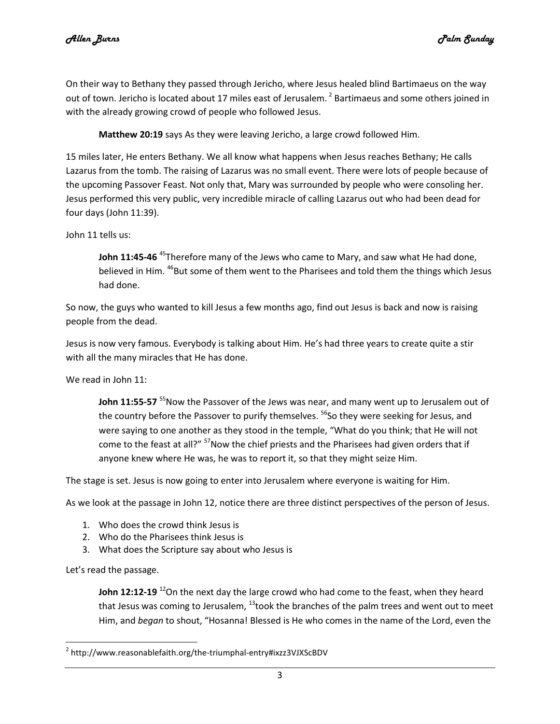On their way to Bethany they passed through Jericho, where Jesus healed blind Bartimaeus on the way out of town. Jericho is located about 17 miles east of Jerusalem.<sup>2</sup> Bartimaeus and some others joined in with the already growing crowd of people who followed Jesus.

**Matthew 20:19** says As they were leaving Jericho, a large crowd followed Him.

15 miles later, He enters Bethany. We all know what happens when Jesus reaches Bethany; He calls Lazarus from the tomb. The raising of Lazarus was no small event. There were lots of people because of the upcoming Passover Feast. Not only that, Mary was surrounded by people who were consoling her. Jesus performed this very public, very incredible miracle of calling Lazarus out who had been dead for four days (John 11:39).

John 11 tells us:

John 11:45-46<sup>45</sup>Therefore many of the Jews who came to Mary, and saw what He had done, believed in Him. <sup>46</sup>But some of them went to the Pharisees and told them the things which Jesus had done.

So now, the guys who wanted to kill Jesus a few months ago, find out Jesus is back and now is raising people from the dead.

Jesus is now very famous. Everybody is talking about Him. He's had three years to create quite a stir with all the many miracles that He has done.

We read in John 11:

John 11:55-57<sup>55</sup> Now the Passover of the Jews was near, and many went up to Jerusalem out of the country before the Passover to purify themselves. <sup>56</sup>So they were seeking for Jesus, and were saying to one another as they stood in the temple, "What do you think; that He will not come to the feast at all?" <sup>57</sup>Now the chief priests and the Pharisees had given orders that if anyone knew where He was, he was to report it, so that they might seize Him.

The stage is set. Jesus is now going to enter into Jerusalem where everyone is waiting for Him.

As we look at the passage in John 12, notice there are three distinct perspectives of the person of Jesus.

- 1. Who does the crowd think Jesus is
- 2. Who do the Pharisees think Jesus is
- 3. What does the Scripture say about who Jesus is

Let's read the passage.

l

**John 12:12-19** <sup>12</sup>On the next day the large crowd who had come to the feast, when they heard that Jesus was coming to Jerusalem,  $^{13}$ took the branches of the palm trees and went out to meet Him, and *began* to shout, "Hosanna! Blessed is He who comes in the name of the Lord, even the

<sup>&</sup>lt;sup>2</sup> http://www.reasonablefaith.org/the-triumphal-entry#ixzz3VJXScBDV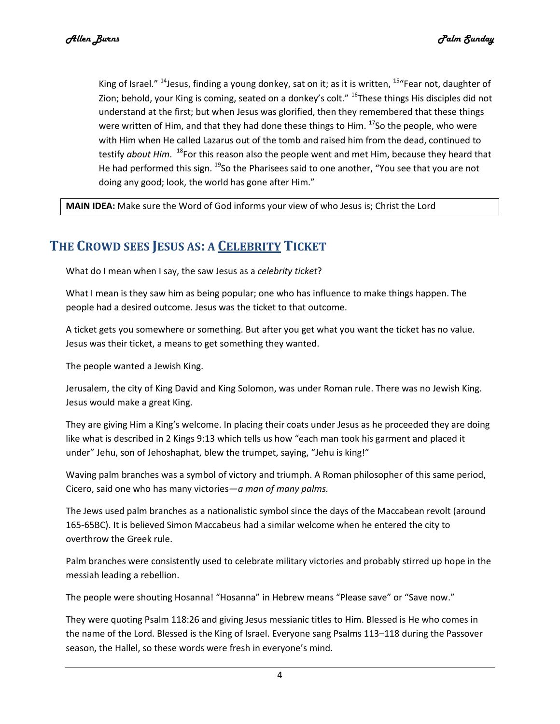King of Israel."  $^{14}$ Jesus, finding a young donkey, sat on it; as it is written,  $^{15}$ "Fear not, daughter of Zion; behold, your King is coming, seated on a donkey's colt." <sup>16</sup>These things His disciples did not understand at the first; but when Jesus was glorified, then they remembered that these things were written of Him, and that they had done these things to Him.  $^{17}$ So the people, who were with Him when He called Lazarus out of the tomb and raised him from the dead, continued to testify *about Him*. <sup>18</sup>For this reason also the people went and met Him, because they heard that He had performed this sign.  $^{19}$ So the Pharisees said to one another, "You see that you are not doing any good; look, the world has gone after Him."

**MAIN IDEA:** Make sure the Word of God informs your view of who Jesus is; Christ the Lord

# **THE CROWD SEES JESUS AS: A CELEBRITY TICKET**

What do I mean when I say, the saw Jesus as a *celebrity ticket*?

What I mean is they saw him as being popular; one who has influence to make things happen. The people had a desired outcome. Jesus was the ticket to that outcome.

A ticket gets you somewhere or something. But after you get what you want the ticket has no value. Jesus was their ticket, a means to get something they wanted.

The people wanted a Jewish King.

Jerusalem, the city of King David and King Solomon, was under Roman rule. There was no Jewish King. Jesus would make a great King.

They are giving Him a King's welcome. In placing their coats under Jesus as he proceeded they are doing like what is described in 2 Kings 9:13 which tells us how "each man took his garment and placed it under" Jehu, son of Jehoshaphat, blew the trumpet, saying, "Jehu is king!"

Waving palm branches was a symbol of victory and triumph. A Roman philosopher of this same period, Cicero, said one who has many victories*—a man of many palms.*

The Jews used palm branches as a nationalistic symbol since the days of the Maccabean revolt (around 165-65BC). It is believed Simon Maccabeus had a similar welcome when he entered the city to overthrow the Greek rule.

Palm branches were consistently used to celebrate military victories and probably stirred up hope in the messiah leading a rebellion.

The people were shouting Hosanna! "Hosanna" in Hebrew means "Please save" or "Save now."

They were quoting Psalm 118:26 and giving Jesus messianic titles to Him. Blessed is He who comes in the name of the Lord. Blessed is the King of Israel. Everyone sang Psalms 113–118 during the Passover season, the Hallel, so these words were fresh in everyone's mind.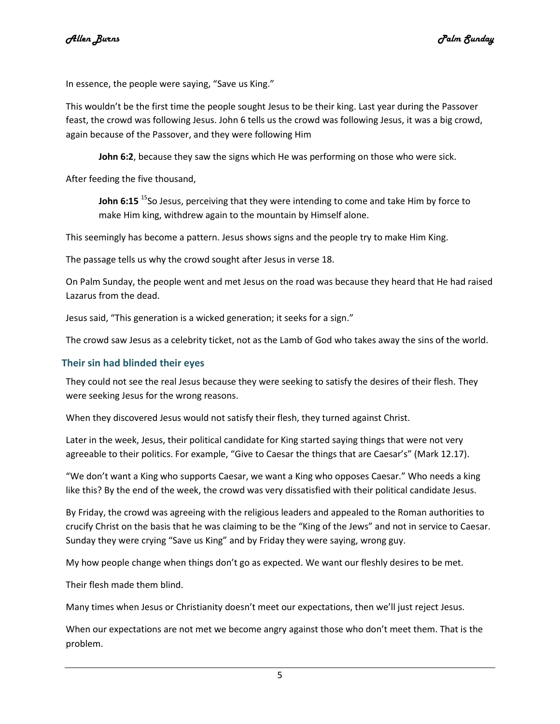In essence, the people were saying, "Save us King."

This wouldn't be the first time the people sought Jesus to be their king. Last year during the Passover feast, the crowd was following Jesus. John 6 tells us the crowd was following Jesus, it was a big crowd, again because of the Passover, and they were following Him

**John 6:2**, because they saw the signs which He was performing on those who were sick.

After feeding the five thousand,

**John 6:15** <sup>15</sup>So Jesus, perceiving that they were intending to come and take Him by force to make Him king, withdrew again to the mountain by Himself alone.

This seemingly has become a pattern. Jesus shows signs and the people try to make Him King.

The passage tells us why the crowd sought after Jesus in verse 18.

On Palm Sunday, the people went and met Jesus on the road was because they heard that He had raised Lazarus from the dead.

Jesus said, "This generation is a wicked generation; it seeks for a sign."

The crowd saw Jesus as a celebrity ticket, not as the Lamb of God who takes away the sins of the world.

#### **Their sin had blinded their eyes**

They could not see the real Jesus because they were seeking to satisfy the desires of their flesh. They were seeking Jesus for the wrong reasons.

When they discovered Jesus would not satisfy their flesh, they turned against Christ.

Later in the week, Jesus, their political candidate for King started saying things that were not very agreeable to their politics. For example, "Give to Caesar the things that are Caesar's" (Mark 12.17).

"We don't want a King who supports Caesar, we want a King who opposes Caesar." Who needs a king like this? By the end of the week, the crowd was very dissatisfied with their political candidate Jesus.

By Friday, the crowd was agreeing with the religious leaders and appealed to the Roman authorities to crucify Christ on the basis that he was claiming to be the "King of the Jews" and not in service to Caesar. Sunday they were crying "Save us King" and by Friday they were saying, wrong guy.

My how people change when things don't go as expected. We want our fleshly desires to be met.

Their flesh made them blind.

Many times when Jesus or Christianity doesn't meet our expectations, then we'll just reject Jesus.

When our expectations are not met we become angry against those who don't meet them. That is the problem.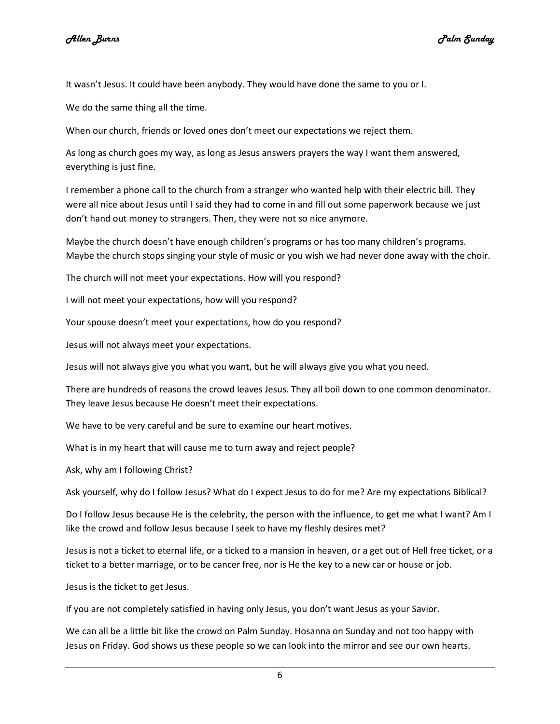It wasn't Jesus. It could have been anybody. They would have done the same to you or I.

We do the same thing all the time.

When our church, friends or loved ones don't meet our expectations we reject them.

As long as church goes my way, as long as Jesus answers prayers the way I want them answered, everything is just fine.

I remember a phone call to the church from a stranger who wanted help with their electric bill. They were all nice about Jesus until I said they had to come in and fill out some paperwork because we just don't hand out money to strangers. Then, they were not so nice anymore.

Maybe the church doesn't have enough children's programs or has too many children's programs. Maybe the church stops singing your style of music or you wish we had never done away with the choir.

The church will not meet your expectations. How will you respond?

I will not meet your expectations, how will you respond?

Your spouse doesn't meet your expectations, how do you respond?

Jesus will not always meet your expectations.

Jesus will not always give you what you want, but he will always give you what you need.

There are hundreds of reasons the crowd leaves Jesus. They all boil down to one common denominator. They leave Jesus because He doesn't meet their expectations.

We have to be very careful and be sure to examine our heart motives.

What is in my heart that will cause me to turn away and reject people?

Ask, why am I following Christ?

Ask yourself, why do I follow Jesus? What do I expect Jesus to do for me? Are my expectations Biblical?

Do I follow Jesus because He is the celebrity, the person with the influence, to get me what I want? Am I like the crowd and follow Jesus because I seek to have my fleshly desires met?

Jesus is not a ticket to eternal life, or a ticked to a mansion in heaven, or a get out of Hell free ticket, or a ticket to a better marriage, or to be cancer free, nor is He the key to a new car or house or job.

Jesus is the ticket to get Jesus.

If you are not completely satisfied in having only Jesus, you don't want Jesus as your Savior.

We can all be a little bit like the crowd on Palm Sunday. Hosanna on Sunday and not too happy with Jesus on Friday. God shows us these people so we can look into the mirror and see our own hearts.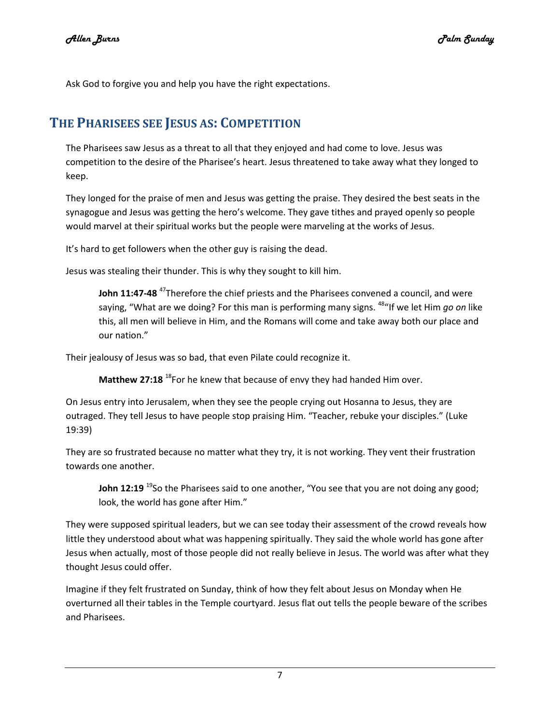Ask God to forgive you and help you have the right expectations.

## **THE PHARISEES SEE JESUS AS: COMPETITION**

The Pharisees saw Jesus as a threat to all that they enjoyed and had come to love. Jesus was competition to the desire of the Pharisee's heart. Jesus threatened to take away what they longed to keep.

They longed for the praise of men and Jesus was getting the praise. They desired the best seats in the synagogue and Jesus was getting the hero's welcome. They gave tithes and prayed openly so people would marvel at their spiritual works but the people were marveling at the works of Jesus.

It's hard to get followers when the other guy is raising the dead.

Jesus was stealing their thunder. This is why they sought to kill him.

**John 11:47-48** <sup>47</sup>Therefore the chief priests and the Pharisees convened a council, and were saying, "What are we doing? For this man is performing many signs. <sup>48</sup>"If we let Him *qo on* like this, all men will believe in Him, and the Romans will come and take away both our place and our nation."

Their jealousy of Jesus was so bad, that even Pilate could recognize it.

**Matthew 27:18** <sup>18</sup>For he knew that because of envy they had handed Him over.

On Jesus entry into Jerusalem, when they see the people crying out Hosanna to Jesus, they are outraged. They tell Jesus to have people stop praising Him. "Teacher, rebuke your disciples." (Luke 19:39)

They are so frustrated because no matter what they try, it is not working. They vent their frustration towards one another.

**John 12:19** <sup>19</sup>So the Pharisees said to one another, "You see that you are not doing any good; look, the world has gone after Him."

They were supposed spiritual leaders, but we can see today their assessment of the crowd reveals how little they understood about what was happening spiritually. They said the whole world has gone after Jesus when actually, most of those people did not really believe in Jesus. The world was after what they thought Jesus could offer.

Imagine if they felt frustrated on Sunday, think of how they felt about Jesus on Monday when He overturned all their tables in the Temple courtyard. Jesus flat out tells the people beware of the scribes and Pharisees.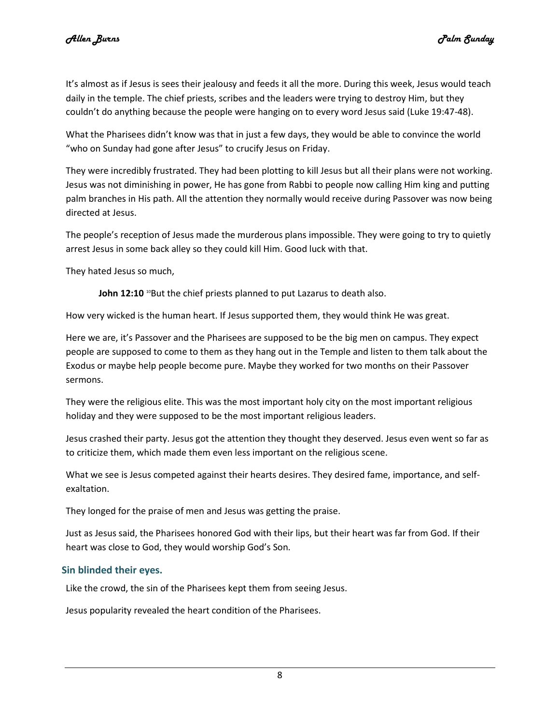It's almost as if Jesus is sees their jealousy and feeds it all the more. During this week, Jesus would teach daily in the temple. The chief priests, scribes and the leaders were trying to destroy Him, but they couldn't do anything because the people were hanging on to every word Jesus said (Luke 19:47-48).

What the Pharisees didn't know was that in just a few days, they would be able to convince the world "who on Sunday had gone after Jesus" to crucify Jesus on Friday.

They were incredibly frustrated. They had been plotting to kill Jesus but all their plans were not working. Jesus was not diminishing in power, He has gone from Rabbi to people now calling Him king and putting palm branches in His path. All the attention they normally would receive during Passover was now being directed at Jesus.

The people's reception of Jesus made the murderous plans impossible. They were going to try to quietly arrest Jesus in some back alley so they could kill Him. Good luck with that.

They hated Jesus so much,

**John 12:10** <sup>10</sup>But the chief priests planned to put Lazarus to death also.

How very wicked is the human heart. If Jesus supported them, they would think He was great.

Here we are, it's Passover and the Pharisees are supposed to be the big men on campus. They expect people are supposed to come to them as they hang out in the Temple and listen to them talk about the Exodus or maybe help people become pure. Maybe they worked for two months on their Passover sermons.

They were the religious elite. This was the most important holy city on the most important religious holiday and they were supposed to be the most important religious leaders.

Jesus crashed their party. Jesus got the attention they thought they deserved. Jesus even went so far as to criticize them, which made them even less important on the religious scene.

What we see is Jesus competed against their hearts desires. They desired fame, importance, and selfexaltation.

They longed for the praise of men and Jesus was getting the praise.

Just as Jesus said, the Pharisees honored God with their lips, but their heart was far from God. If their heart was close to God, they would worship God's Son.

#### **Sin blinded their eyes.**

Like the crowd, the sin of the Pharisees kept them from seeing Jesus.

Jesus popularity revealed the heart condition of the Pharisees.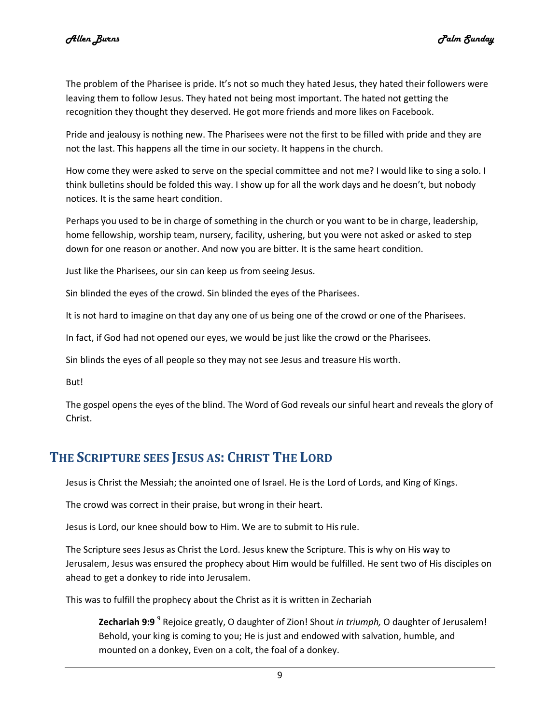The problem of the Pharisee is pride. It's not so much they hated Jesus, they hated their followers were leaving them to follow Jesus. They hated not being most important. The hated not getting the recognition they thought they deserved. He got more friends and more likes on Facebook.

Pride and jealousy is nothing new. The Pharisees were not the first to be filled with pride and they are not the last. This happens all the time in our society. It happens in the church.

How come they were asked to serve on the special committee and not me? I would like to sing a solo. I think bulletins should be folded this way. I show up for all the work days and he doesn't, but nobody notices. It is the same heart condition.

Perhaps you used to be in charge of something in the church or you want to be in charge, leadership, home fellowship, worship team, nursery, facility, ushering, but you were not asked or asked to step down for one reason or another. And now you are bitter. It is the same heart condition.

Just like the Pharisees, our sin can keep us from seeing Jesus.

Sin blinded the eyes of the crowd. Sin blinded the eyes of the Pharisees.

It is not hard to imagine on that day any one of us being one of the crowd or one of the Pharisees.

In fact, if God had not opened our eyes, we would be just like the crowd or the Pharisees.

Sin blinds the eyes of all people so they may not see Jesus and treasure His worth.

But!

The gospel opens the eyes of the blind. The Word of God reveals our sinful heart and reveals the glory of Christ.

### **THE SCRIPTURE SEES JESUS AS: CHRIST THE LORD**

Jesus is Christ the Messiah; the anointed one of Israel. He is the Lord of Lords, and King of Kings.

The crowd was correct in their praise, but wrong in their heart.

Jesus is Lord, our knee should bow to Him. We are to submit to His rule.

The Scripture sees Jesus as Christ the Lord. Jesus knew the Scripture. This is why on His way to Jerusalem, Jesus was ensured the prophecy about Him would be fulfilled. He sent two of His disciples on ahead to get a donkey to ride into Jerusalem.

This was to fulfill the prophecy about the Christ as it is written in Zechariah

**Zechariah 9:9** <sup>9</sup> Rejoice greatly, O daughter of Zion! Shout *in triumph,* O daughter of Jerusalem! Behold, your king is coming to you; He is just and endowed with salvation, humble, and mounted on a donkey, Even on a colt, the foal of a donkey.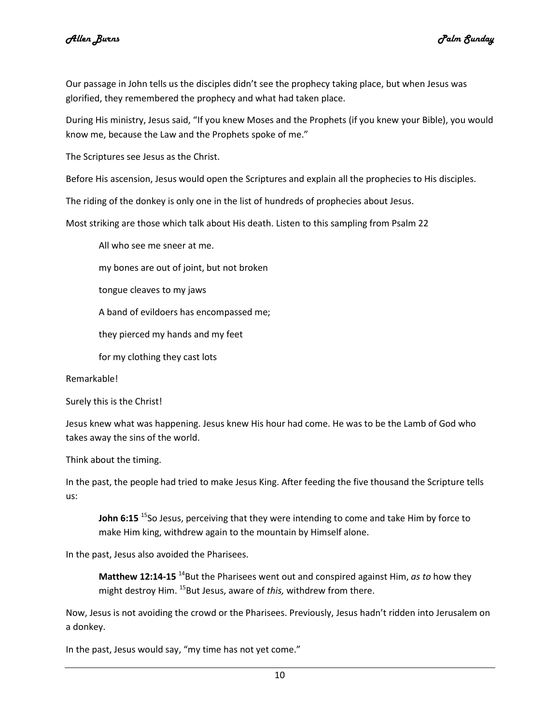Our passage in John tells us the disciples didn't see the prophecy taking place, but when Jesus was glorified, they remembered the prophecy and what had taken place.

During His ministry, Jesus said, "If you knew Moses and the Prophets (if you knew your Bible), you would know me, because the Law and the Prophets spoke of me."

The Scriptures see Jesus as the Christ.

Before His ascension, Jesus would open the Scriptures and explain all the prophecies to His disciples.

The riding of the donkey is only one in the list of hundreds of prophecies about Jesus.

Most striking are those which talk about His death. Listen to this sampling from Psalm 22

All who see me sneer at me.

my bones are out of joint, but not broken

tongue cleaves to my jaws

A band of evildoers has encompassed me;

they pierced my hands and my feet

for my clothing they cast lots

Remarkable!

Surely this is the Christ!

Jesus knew what was happening. Jesus knew His hour had come. He was to be the Lamb of God who takes away the sins of the world.

Think about the timing.

In the past, the people had tried to make Jesus King. After feeding the five thousand the Scripture tells us:

John 6:15<sup>15</sup>So Jesus, perceiving that they were intending to come and take Him by force to make Him king, withdrew again to the mountain by Himself alone.

In the past, Jesus also avoided the Pharisees.

Matthew 12:14-15<sup>14</sup>But the Pharisees went out and conspired against Him, *as to* how they might destroy Him. <sup>15</sup>But Jesus, aware of *this*, withdrew from there.

Now, Jesus is not avoiding the crowd or the Pharisees. Previously, Jesus hadn't ridden into Jerusalem on a donkey.

In the past, Jesus would say, "my time has not yet come."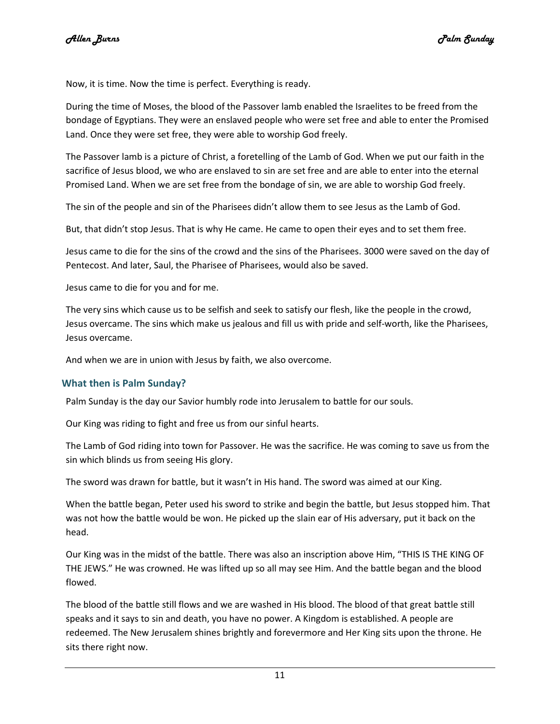Now, it is time. Now the time is perfect. Everything is ready.

During the time of Moses, the blood of the Passover lamb enabled the Israelites to be freed from the bondage of Egyptians. They were an enslaved people who were set free and able to enter the Promised Land. Once they were set free, they were able to worship God freely.

The Passover lamb is a picture of Christ, a foretelling of the Lamb of God. When we put our faith in the sacrifice of Jesus blood, we who are enslaved to sin are set free and are able to enter into the eternal Promised Land. When we are set free from the bondage of sin, we are able to worship God freely.

The sin of the people and sin of the Pharisees didn't allow them to see Jesus as the Lamb of God.

But, that didn't stop Jesus. That is why He came. He came to open their eyes and to set them free.

Jesus came to die for the sins of the crowd and the sins of the Pharisees. 3000 were saved on the day of Pentecost. And later, Saul, the Pharisee of Pharisees, would also be saved.

Jesus came to die for you and for me.

The very sins which cause us to be selfish and seek to satisfy our flesh, like the people in the crowd, Jesus overcame. The sins which make us jealous and fill us with pride and self-worth, like the Pharisees, Jesus overcame.

And when we are in union with Jesus by faith, we also overcome.

#### **What then is Palm Sunday?**

Palm Sunday is the day our Savior humbly rode into Jerusalem to battle for our souls.

Our King was riding to fight and free us from our sinful hearts.

The Lamb of God riding into town for Passover. He was the sacrifice. He was coming to save us from the sin which blinds us from seeing His glory.

The sword was drawn for battle, but it wasn't in His hand. The sword was aimed at our King.

When the battle began, Peter used his sword to strike and begin the battle, but Jesus stopped him. That was not how the battle would be won. He picked up the slain ear of His adversary, put it back on the head.

Our King was in the midst of the battle. There was also an inscription above Him, "THIS IS THE KING OF THE JEWS." He was crowned. He was lifted up so all may see Him. And the battle began and the blood flowed.

The blood of the battle still flows and we are washed in His blood. The blood of that great battle still speaks and it says to sin and death, you have no power. A Kingdom is established. A people are redeemed. The New Jerusalem shines brightly and forevermore and Her King sits upon the throne. He sits there right now.